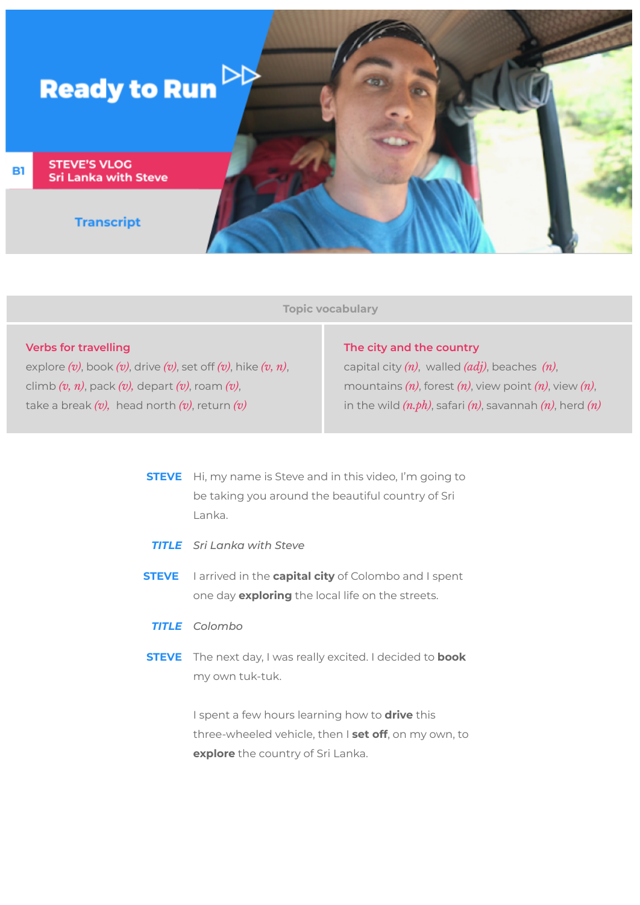

**Topic vocabulary**

## **Verbs for travelling**

explore *(v)*, book *(v)*, drive *(v)*, set off *(v)*, hike *(v, n)*, climb *(v, n)*, pack *(v),* depart *(v)*, roam *(v)*, take a break *(v),* head north *(v)*, return *(v)*

## **The city and the country**

capital city *(n)*, walled *(adj)*, beaches *(n)*, mountains *(n)*, forest *(n)*, view point *(n)*, view *(n)*, in the wild *(n.ph)*, safari *(n)*, savannah *(n)*, herd *(n)*

- **STEVE** Hi, my name is Steve and in this video, I'm going to be taking you around the beautiful country of Sri Lanka.
- *TITLE Sri Lanka with Steve*
- **STEVE** I arrived in the **capital city** of Colombo and I spent one day **exploring** the local life on the streets.

## *TITLE Colombo*

**STEVE** The next day, I was really excited. I decided to **book** my own tuk-tuk.

> I spent a few hours learning how to **drive** this three-wheeled vehicle, then I **set off**, on my own, to **explore** the country of Sri Lanka.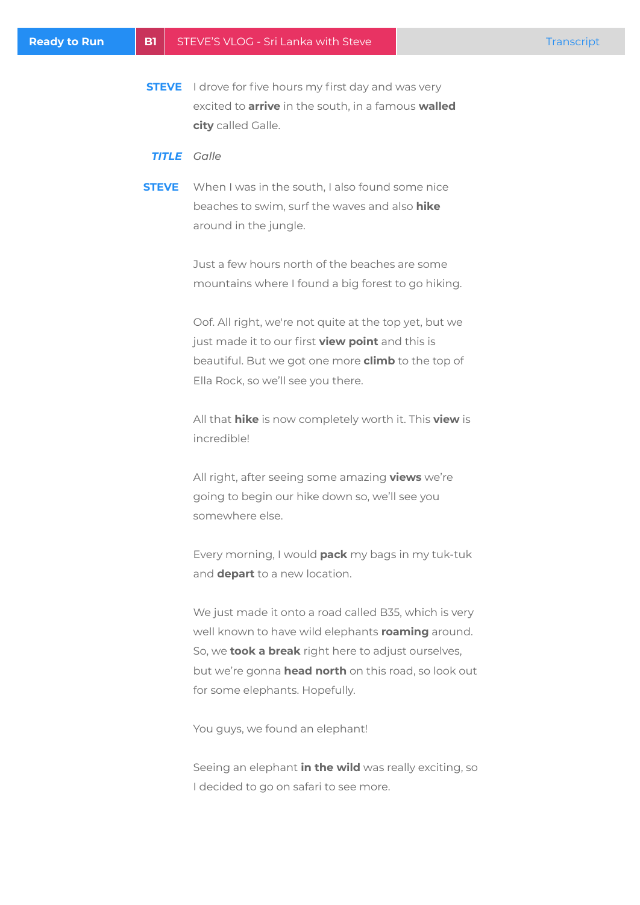**STEVE** I drove for five hours my first day and was very excited to **arrive** in the south, in a famous **walled city** called Galle.

## *TITLE Galle*

**STEVE** When I was in the south, I also found some nice beaches to swim, surf the waves and also **hike** around in the jungle.

> Just a few hours north of the beaches are some mountains where I found a big forest to go hiking.

> Oof. All right, we're not quite at the top yet, but we just made it to our first **view point** and this is beautiful. But we got one more **climb** to the top of Ella Rock, so we'll see you there.

All that **hike** is now completely worth it. This **view** is incredible!

All right, after seeing some amazing **views** we're going to begin our hike down so, we'll see you somewhere else.

Every morning, I would **pack** my bags in my tuk-tuk and **depart** to a new location.

We just made it onto a road called B35, which is very well known to have wild elephants **roaming** around. So, we **took a break** right here to adjust ourselves, but we're gonna **head north** on this road, so look out for some elephants. Hopefully.

You guys, we found an elephant!

Seeing an elephant **in the wild** was really exciting, so I decided to go on safari to see more.